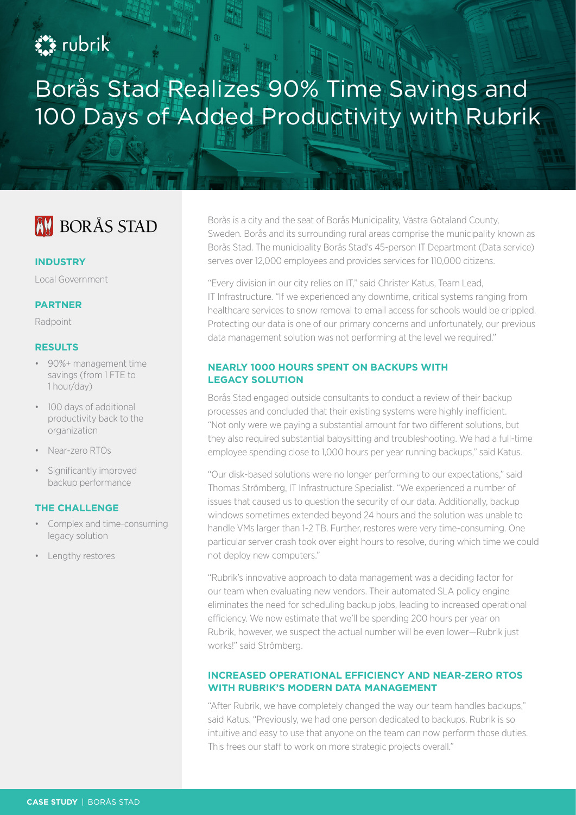# **Ext** rubrik

# Borås Stad Realizes 90% Time Savings and 100 Days of Added Productivity with Rubrik

# **AV BORÅS STAD**

#### **INDUSTRY**

Local Government

#### **PARTNER**

Radpoint

## **RESULTS**

- 90%+ management time savings (from 1 FTE to 1 hour/day)
- 100 days of additional productivity back to the organization
- Near-zero RTOs
- Significantly improved backup performance

#### **THE CHALLENGE**

- Complex and time-consuming legacy solution
- Lengthy restores

Borås is a city and the seat of Borås Municipality, Västra Götaland County, Sweden. Borås and its surrounding rural areas comprise the municipality known as Borås Stad. The municipality Borås Stad's 45-person IT Department (Data service) serves over 12,000 employees and provides services for 110,000 citizens.

"Every division in our city relies on IT," said Christer Katus, Team Lead, IT Infrastructure. "If we experienced any downtime, critical systems ranging from healthcare services to snow removal to email access for schools would be crippled. Protecting our data is one of our primary concerns and unfortunately, our previous data management solution was not performing at the level we required."

## **NEARLY 1000 HOURS SPENT ON BACKUPS WITH LEGACY SOLUTION**

Borås Stad engaged outside consultants to conduct a review of their backup processes and concluded that their existing systems were highly inefficient. "Not only were we paying a substantial amount for two different solutions, but they also required substantial babysitting and troubleshooting. We had a full-time employee spending close to 1,000 hours per year running backups," said Katus.

"Our disk-based solutions were no longer performing to our expectations," said Thomas Strömberg, IT Infrastructure Specialist. "We experienced a number of issues that caused us to question the security of our data. Additionally, backup windows sometimes extended beyond 24 hours and the solution was unable to handle VMs larger than 1-2 TB. Further, restores were very time-consuming. One particular server crash took over eight hours to resolve, during which time we could not deploy new computers."

"Rubrik's innovative approach to data management was a deciding factor for our team when evaluating new vendors. Their automated SLA policy engine eliminates the need for scheduling backup jobs, leading to increased operational efficiency. We now estimate that we'll be spending 200 hours per year on Rubrik, however, we suspect the actual number will be even lower—Rubrik just works!" said Strömberg.

## **INCREASED OPERATIONAL EFFICIENCY AND NEAR-ZERO RTOS WITH RUBRIK'S MODERN DATA MANAGEMENT**

"After Rubrik, we have completely changed the way our team handles backups," said Katus. "Previously, we had one person dedicated to backups. Rubrik is so intuitive and easy to use that anyone on the team can now perform those duties. This frees our staff to work on more strategic projects overall."